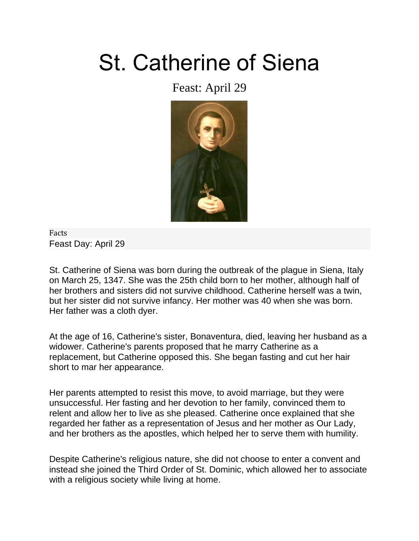## St. Catherine of Siena

## Feast: April 29



Facts [Feast Day:](https://www.catholic.org/saints/f_day/) April 29

St. Catherine of Siena was born during the outbreak of the plague in Siena, Italy on March 25, 1347. She was the 25th child born to her mother, although half of her brothers and sisters did not survive childhood. Catherine herself was a twin, but her sister did not survive infancy. Her mother was 40 when she was born. Her father was a cloth dyer.

At the age of 16, Catherine's sister, Bonaventura, died, leaving her husband as a widower. Catherine's parents proposed that he marry Catherine as a replacement, but Catherine opposed this. She began fasting and cut her hair short to mar her appearance.

Her parents attempted to resist this move, to avoid marriage, but they were unsuccessful. Her fasting and her devotion to her family, convinced them to relent and allow her to live as she pleased. Catherine once explained that she regarded her father as a representation of Jesus and her mother as Our Lady, and her brothers as the apostles, which helped her to serve them with humility.

Despite Catherine's religious nature, she did not choose to enter a convent and instead she joined the Third Order of St. Dominic, which allowed her to associate with a religious society while living at home.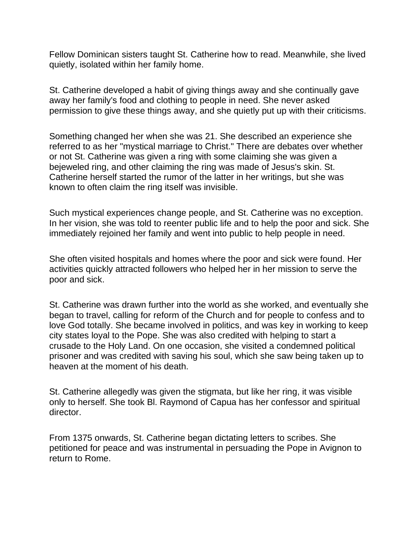Fellow Dominican sisters taught St. Catherine how to read. Meanwhile, she lived quietly, isolated within her family home.

St. Catherine developed a habit of giving things away and she continually gave away her family's food and clothing to people in need. She never asked permission to give these things away, and she quietly put up with their criticisms.

Something changed her when she was 21. She described an experience she referred to as her "mystical marriage to Christ." There are debates over whether or not St. Catherine was given a ring with some claiming she was given a bejeweled ring, and other claiming the ring was made of Jesus's skin. St. Catherine herself started the rumor of the latter in her writings, but she was known to often claim the ring itself was invisible.

Such mystical experiences change people, and St. Catherine was no exception. In her vision, she was told to reenter public life and to help the poor and sick. She immediately rejoined her family and went into public to help people in need.

She often visited hospitals and homes where the poor and sick were found. Her activities quickly attracted followers who helped her in her mission to serve the poor and sick.

St. Catherine was drawn further into the world as she worked, and eventually she began to travel, calling for reform of the Church and for people to confess and to love God totally. She became involved in politics, and was key in working to keep city states loyal to the Pope. She was also credited with helping to start a crusade to the Holy Land. On one occasion, she visited a condemned political prisoner and was credited with saving his soul, which she saw being taken up to heaven at the moment of his death.

St. Catherine allegedly was given the stigmata, but like her ring, it was visible only to herself. She took Bl. Raymond of Capua has her confessor and spiritual director.

From 1375 onwards, St. Catherine began dictating letters to scribes. She petitioned for peace and was instrumental in persuading the Pope in Avignon to return to Rome.